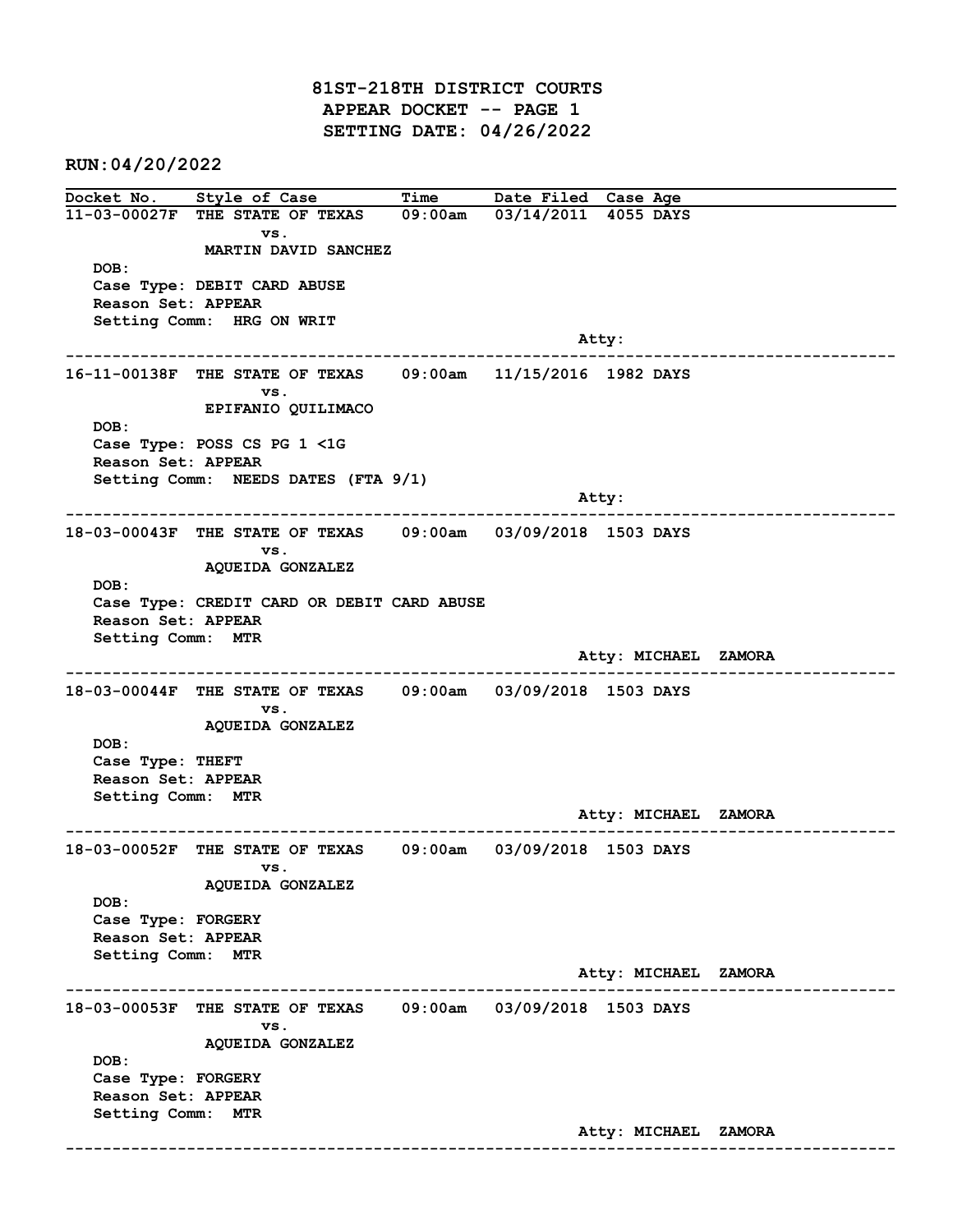81ST-218TH DISTRICT COURTS APPEAR DOCKET -- PAGE 1 SETTING DATE: 04/26/2022

RUN:04/20/2022

Docket No. Style of Case Time Date Filed Case Age 11-03-00027F THE STATE OF TEXAS 09:00am 03/14/2011 4055 DAYS vs. MARTIN DAVID SANCHEZ DOB: Case Type: DEBIT CARD ABUSE Reason Set: APPEAR Setting Comm: HRG ON WRIT example of the contract of the contract of the contract of the contract of the contract of the contract of the contract of the contract of the contract of the contract of the contract of the contract of the contract of the ------------------------------------------------------------------------------------------------------------------------ 16-11-00138F THE STATE OF TEXAS 09:00am 11/15/2016 1982 DAYS vs. EPIFANIO QUILIMACO DOB: Case Type: POSS CS PG 1 <1G Reason Set: APPEAR Setting Comm: NEEDS DATES (FTA 9/1) and the state of the state of the state of the state of the state of the state of the state of the state of the state of the state of the state of the state of the state of the state of the state of the state of the state ------------------------------------------------------------------------------------------------------------------------ 18-03-00043F THE STATE OF TEXAS 09:00am 03/09/2018 1503 DAYS vs. AQUEIDA GONZALEZ DOB: Case Type: CREDIT CARD OR DEBIT CARD ABUSE Reason Set: APPEAR Setting Comm: MTR Atty: MICHAEL ZAMORA ------------------------------------------------------------------------------------------------------------------------ 18-03-00044F THE STATE OF TEXAS 09:00am 03/09/2018 1503 DAYS vs. AQUEIDA GONZALEZ DOB: Case Type: THEFT Reason Set: APPEAR Setting Comm: MTR Atty: MICHAEL ZAMORA ------------------------------------------------------------------------------------------------------------------------ 18-03-00052F THE STATE OF TEXAS 09:00am 03/09/2018 1503 DAYS vs. AQUEIDA GONZALEZ DOB: Case Type: FORGERY Reason Set: APPEAR Setting Comm: MTR Atty: MICHAEL ZAMORA ------------------------------------------------------------------------------------------------------------------------ 18-03-00053F THE STATE OF TEXAS 09:00am 03/09/2018 1503 DAYS vs. AQUEIDA GONZALEZ DOB: Case Type: FORGERY Reason Set: APPEAR Setting Comm: MTR Atty: MICHAEL ZAMORA ------------------------------------------------------------------------------------------------------------------------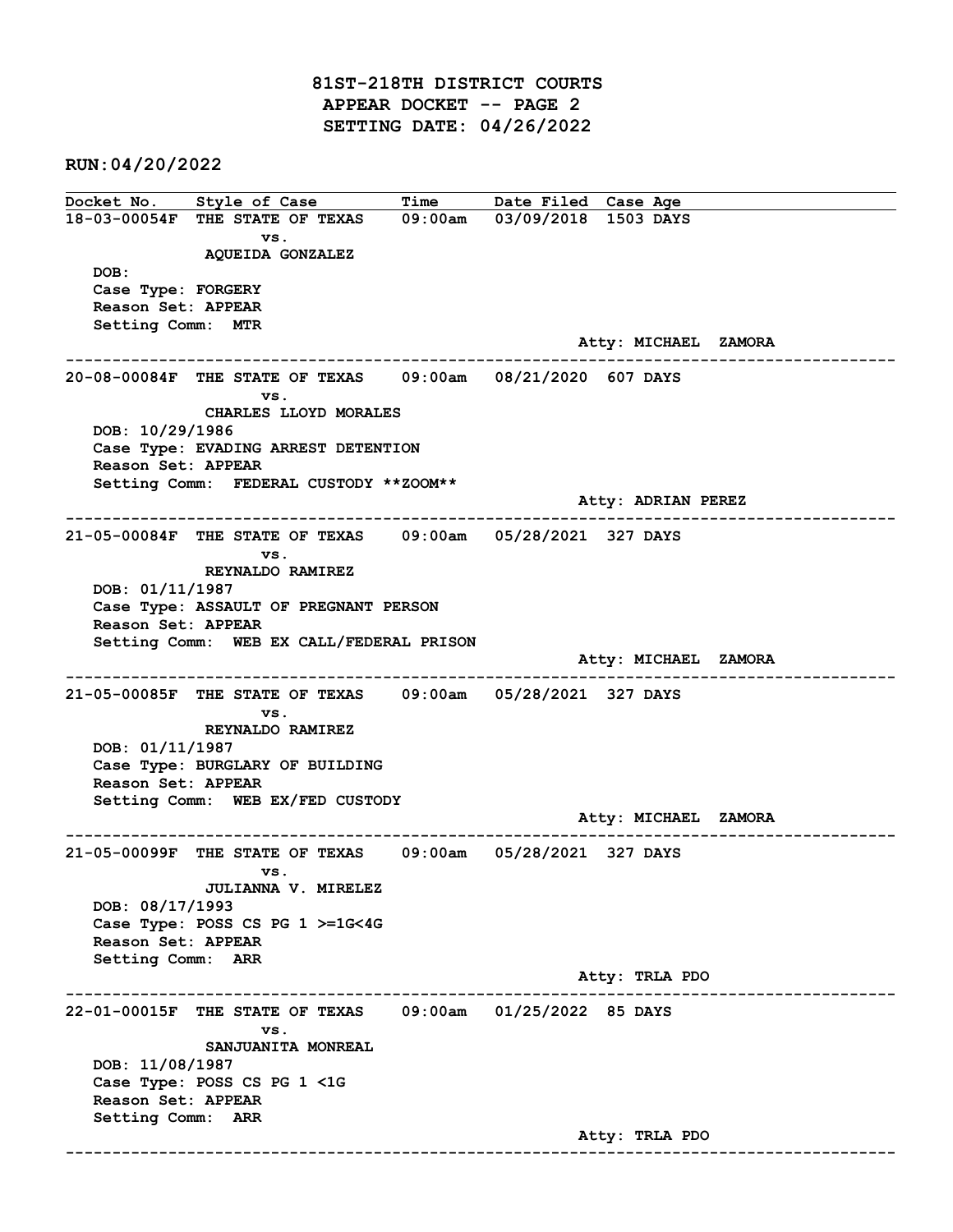81ST-218TH DISTRICT COURTS APPEAR DOCKET -- PAGE 2 SETTING DATE: 04/26/2022

RUN:04/20/2022

Docket No. Style of Case Time Date Filed Case Age 18-03-00054F THE STATE OF TEXAS 09:00am 03/09/2018 1503 DAYS vs. AQUEIDA GONZALEZ DOB: Case Type: FORGERY Reason Set: APPEAR Setting Comm: MTR Atty: MICHAEL ZAMORA ------------------------------------------------------------------------------------------------------------------------ 20-08-00084F THE STATE OF TEXAS 09:00am 08/21/2020 607 DAYS vs. CHARLES LLOYD MORALES DOB: 10/29/1986 Case Type: EVADING ARREST DETENTION Reason Set: APPEAR Setting Comm: FEDERAL CUSTODY \*\*ZOOM\*\* Atty: ADRIAN PEREZ ------------------------------------------------------------------------------------------------------------------------ 21-05-00084F THE STATE OF TEXAS 09:00am 05/28/2021 327 DAYS vs. REYNALDO RAMIREZ DOB: 01/11/1987 Case Type: ASSAULT OF PREGNANT PERSON Reason Set: APPEAR Setting Comm: WEB EX CALL/FEDERAL PRISON Atty: MICHAEL ZAMORA ------------------------------------------------------------------------------------------------------------------------ 21-05-00085F THE STATE OF TEXAS 09:00am 05/28/2021 327 DAYS vs. REYNALDO RAMIREZ DOB: 01/11/1987 Case Type: BURGLARY OF BUILDING Reason Set: APPEAR Setting Comm: WEB EX/FED CUSTODY Atty: MICHAEL ZAMORA ------------------------------------------------------------------------------------------------------------------------ 21-05-00099F THE STATE OF TEXAS 09:00am 05/28/2021 327 DAYS vs. JULIANNA V. MIRELEZ DOB: 08/17/1993 Case Type: POSS CS PG 1 >=1G<4G Reason Set: APPEAR Setting Comm: ARR Atty: TRLA PDO ------------------------------------------------------------------------------------------------------------------------ 22-01-00015F THE STATE OF TEXAS 09:00am 01/25/2022 85 DAYS vs. SANJUANITA MONREAL DOB: 11/08/1987 Case Type: POSS CS PG 1 <1G Reason Set: APPEAR Setting Comm: ARR Atty: TRLA PDO ------------------------------------------------------------------------------------------------------------------------